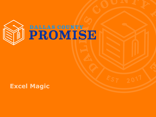

### **Excel Magic**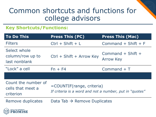### Common shortcuts and functions for college advisors

#### **Key Shortcuts/Functions:**

SF.

| <b>To Do This</b>                                     | <b>Press This (PC)</b>                                                               | <b>Press This (Mac)</b>                   |  |  |  |
|-------------------------------------------------------|--------------------------------------------------------------------------------------|-------------------------------------------|--|--|--|
| <b>Filters</b>                                        | $Ctrl + Shift + L$                                                                   | Command $+$ Shift $+$ F                   |  |  |  |
| Select whole<br>column/row up to<br>last nonblank     | Ctrl + Shift + Arrow Key                                                             | Command $+$ Shift $+$<br><b>Arrow Key</b> |  |  |  |
| "Lock" a cell                                         | $Fn + F4$                                                                            | Command $+T$                              |  |  |  |
|                                                       |                                                                                      |                                           |  |  |  |
| Count the number of<br>cells that meet a<br>criterion | =COUNTIF(range, criteria)<br>If criteria is a word and not a number, put in "quotes" |                                           |  |  |  |
| Remove duplicates                                     | Data Tab $\rightarrow$ Remove Duplicates                                             |                                           |  |  |  |
| $\leftarrow$ DALLAS COUNTY                            |                                                                                      |                                           |  |  |  |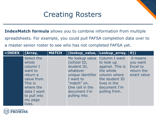## Creating Rosters

**IndexMatch formula** allows you to combine information from multiple spreadsheets. For example, you could pull FAFSA completion data over to a master senior roster to see who has not completed FAFSA yet.

| $= INDEX$ | (Array,                                                                                                                                           | <b>MATCH</b> | (lookup_value, Lookup_array, 0))                                                                                                                                             |                                                                                                                                |                                                              |
|-----------|---------------------------------------------------------------------------------------------------------------------------------------------------|--------------|------------------------------------------------------------------------------------------------------------------------------------------------------------------------------|--------------------------------------------------------------------------------------------------------------------------------|--------------------------------------------------------------|
|           | Select the<br>whole<br>column I<br>want to<br>return a<br>value from.<br>This is<br>where the<br>data I want<br>to pull into<br>my page<br>lives. |              | My lookup value Column I want<br>(school ID,<br>student ID,<br>whatever<br>unique identifier<br>I want to<br>"match" on.<br>One cell in the<br>document I'm<br>pulling into. | to look up<br>against. This is<br>the whole<br>column where<br>the student ID<br>lives in the<br>document I'm<br>pulling from. | 0 means<br>you want<br>Excel to<br>return the<br>exact value |